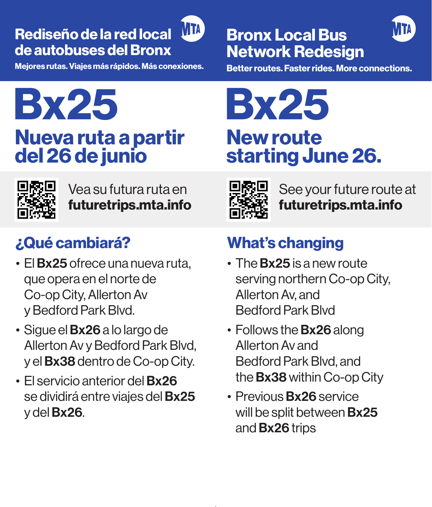#### Rediseño de la red local de autobuses del Bronx

Mejores rutas. Viajes más rápidos. Más conexiones.

## **MM** Bronx Local Bus MM Network Redesign

New route<br>starting June 26.

Better routes. Faster rides. More connections.

# Bx25 Bx25 **Nueva ruta a partir** del 26 de junio



Vea su futura ruta en futuretrips.mta.info

### ¿Qué cambiará?

- El **Bx25** ofrece una nueva ruta, que opera en el norte de Co-op City, Allerton Av y Bedford Park Blvd.
- Sigue el Bx26 a lo largo de Allerton Av y Bedford Park Blvd, y el Bx38 dentro de Co-op City.
- El servicio anterior del Bx26 se dividirá entre viajes del **Bx25** y del Bx26.



See your future route at futuretrips.mta.info

### What's changing

- The **Bx25** is a new route serving northern Co-op City, Allerton Av, and Bedford Park Blvd
- Follows the **Bx26** along Allerton Av and Bedford Park Blvd, and the Bx38 within Co-op City
- Previous **Bx26** service will be split between **Bx25** and Bx26 trips